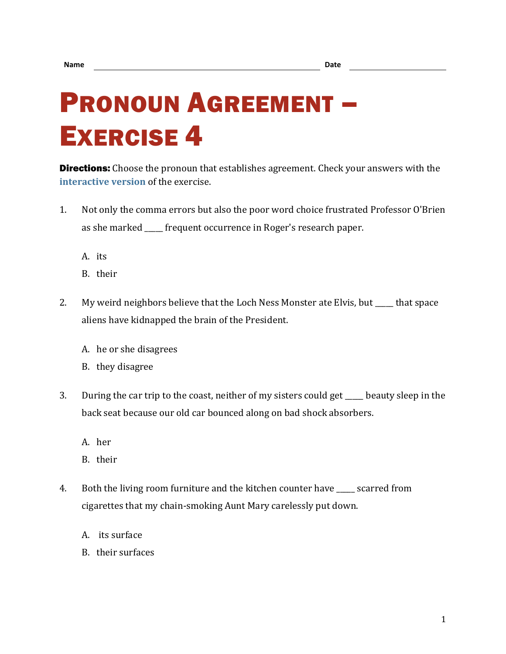## PRONOUN AGREEMENT – EXERCISE 4

**Directions:** Choose the pronoun that establishes agreement. Check your answers with the **[interactive version](https://chompchomp.com/hotpotatoes/proagree04.htm)** of the exercise.

- 1. Not only the comma errors but also the poor word choice frustrated Professor O'Brien as she marked \_\_\_\_\_ frequent occurrence in Roger's research paper.
	- A. its
	- B. their
- 2. My weird neighbors believe that the Loch Ness Monster ate Elvis, but \_\_\_\_ that space aliens have kidnapped the brain of the President.
	- A. he or she disagrees
	- B. they disagree
- 3. During the car trip to the coast, neither of my sisters could get beauty sleep in the back seat because our old car bounced along on bad shock absorbers.
	- A. her
	- B. their
- 4. Both the living room furniture and the kitchen counter have \_\_\_\_\_ scarred from cigarettes that my chain-smoking Aunt Mary carelessly put down.
	- A. its surface
	- B. their surfaces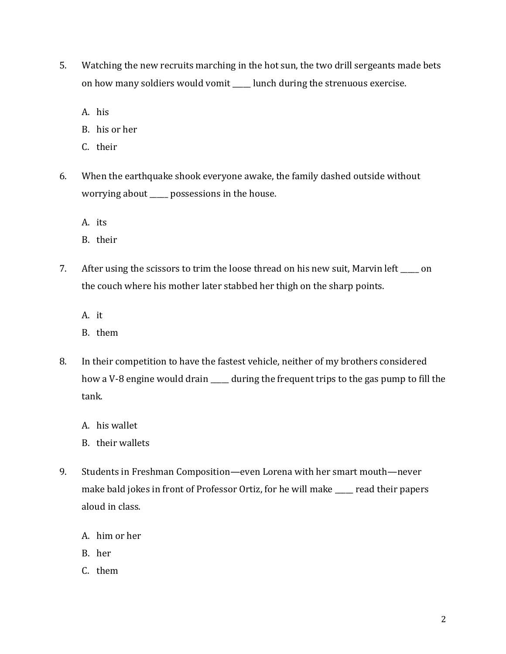- 5. Watching the new recruits marching in the hot sun, the two drill sergeants made bets on how many soldiers would vomit \_\_\_\_\_ lunch during the strenuous exercise.
	- A. his
	- B. his or her
	- C. their
- 6. When the earthquake shook everyone awake, the family dashed outside without worrying about \_\_\_\_\_ possessions in the house.
	- A. its
	- B. their
- 7. After using the scissors to trim the loose thread on his new suit, Marvin left on the couch where his mother later stabbed her thigh on the sharp points.
	- A. it
	- B. them
- 8. In their competition to have the fastest vehicle, neither of my brothers considered how a V-8 engine would drain \_\_\_\_\_ during the frequent trips to the gas pump to fill the tank.
	- A. his wallet
	- B. their wallets
- 9. Students in Freshman Composition—even Lorena with her smart mouth—never make bald jokes in front of Professor Ortiz, for he will make \_\_\_\_\_ read their papers aloud in class.
	- A. him or her
	- B. her
	- C. them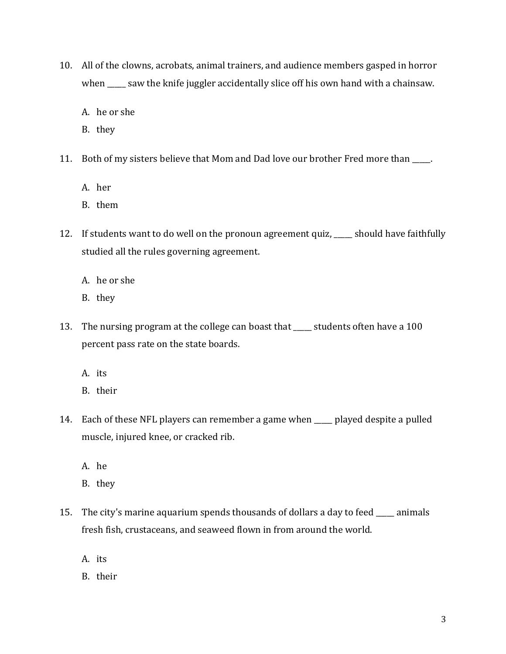- 10. All of the clowns, acrobats, animal trainers, and audience members gasped in horror when \_\_\_\_\_ saw the knife juggler accidentally slice off his own hand with a chainsaw.
	- A. he or she
	- B. they
- 11. Both of my sisters believe that Mom and Dad love our brother Fred more than \_\_\_\_\_.
	- A. her
	- B. them
- 12. If students want to do well on the pronoun agreement quiz, \_\_\_\_\_ should have faithfully studied all the rules governing agreement.
	- A. he or she
	- B. they
- 13. The nursing program at the college can boast that \_\_\_\_\_ students often have a 100 percent pass rate on the state boards.
	- A. its
	- B. their
- 14. Each of these NFL players can remember a game when \_\_\_\_\_ played despite a pulled muscle, injured knee, or cracked rib.
	- A. he
	- B. they
- 15. The city's marine aquarium spends thousands of dollars a day to feed \_\_\_\_\_ animals fresh fish, crustaceans, and seaweed flown in from around the world.
	- A. its
	- B. their